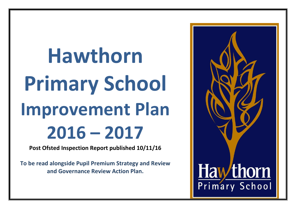**Hawthorn Primary School Improvement Plan 2016 – 2017**

**Post Ofsted Inspection Report published 10/11/16**

**To be read alongside Pupil Premium Strategy and Review and Governance Review Action Plan.**

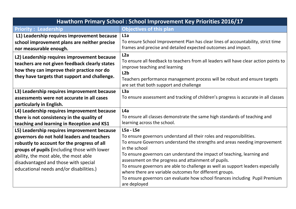|                                                                                                                                                                                                                                                                                                                       | Hawthorn Primary School: School Improvement Key Priorities 2016/17                                                                                                                                                                                                                                                                                                                                                                                                                                                                                                  |
|-----------------------------------------------------------------------------------------------------------------------------------------------------------------------------------------------------------------------------------------------------------------------------------------------------------------------|---------------------------------------------------------------------------------------------------------------------------------------------------------------------------------------------------------------------------------------------------------------------------------------------------------------------------------------------------------------------------------------------------------------------------------------------------------------------------------------------------------------------------------------------------------------------|
| <b>Priority: Leadership</b>                                                                                                                                                                                                                                                                                           | <b>Objectives of this plan</b>                                                                                                                                                                                                                                                                                                                                                                                                                                                                                                                                      |
| L1) Leadership requires improvement because<br>school improvement plans are neither precise<br>nor measurable enough.<br>L2) Leadership requires improvement because<br>teachers are not given feedback clearly states<br>how they can improve their practice nor do<br>they have targets that support and challenge. | L1a<br>To ensure School Improvement Plan has clear lines of accountability, strict time<br>frames and precise and detailed expected outcomes and impact.<br>L2a<br>To ensure all feedback to teachers from all leaders will have clear action points to<br>improve teaching and learning<br>L <sub>2b</sub><br>Teachers performance management process will be robust and ensure targets<br>are set that both support and challenge                                                                                                                                 |
| L3) Leadership requires improvement because<br>assessments were not accurate in all cases<br>particularly in English.<br>L4) Leadership requires improvement because<br>there is not consistency in the quality of<br>teaching and learning in Reception and KS1                                                      | L3a<br>To ensure assessment and tracking of children's progress is accurate in all classes<br>L4a<br>To ensure all classes demonstrate the same high standards of teaching and<br>learning across the school.                                                                                                                                                                                                                                                                                                                                                       |
| L5) Leadership requires improvement because<br>governors do not hold leaders and teachers<br>robustly to account for the progress of all<br>groups of pupils (including those with lower<br>ability, the most able, the most able<br>disadvantaged and those with special<br>educational needs and/or disabilities.)  | $LSa - L5e$<br>To ensure governors understand all their roles and responsibilities.<br>To ensure Governors understand the strengths and areas needing improvement<br>in the school<br>To ensure governors can understand the impact of teaching, learning and<br>assessment on the progress and attainment of pupils.<br>To ensure governors are able to challenge as well as support leaders especially<br>where there are variable outcomes for different groups.<br>To ensure governors can evaluate how school finances including Pupil Premium<br>are deployed |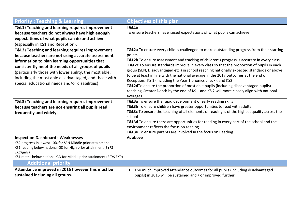| <b>Priority: Teaching &amp; Learning</b>                                         | <b>Objectives of this plan</b>                                                                                                                                                 |
|----------------------------------------------------------------------------------|--------------------------------------------------------------------------------------------------------------------------------------------------------------------------------|
| T&L1) Teaching and learning requires improvement                                 | <b>T&amp;L1a</b>                                                                                                                                                               |
| because teachers do not always have high enough                                  | To ensure teachers have raised expectations of what pupils can achieve                                                                                                         |
| expectations of what pupils can do and achieve                                   |                                                                                                                                                                                |
| (especially in KS1 and Reception).                                               |                                                                                                                                                                                |
| T&L2) Teaching and learning requires improvement                                 | T&L2a To ensure every child is challenged to make outstanding progress from their starting                                                                                     |
| because teachers are not using accurate assessment                               | points.                                                                                                                                                                        |
| information to plan learning opportunities that                                  | T&L2b To ensure assessment and tracking of children's progress is accurate in every class                                                                                      |
| consistently meet the needs of all groups of pupils                              | T&L2c To ensure standards improve in every class so that the proportion of pupils in each                                                                                      |
| (particularly those with lower ability, the most able,                           | group (SEN, Disadvantaged etc.) in school reaching nationally expected standards or above                                                                                      |
| including the most able disadvantaged, and those with                            | to be at least in line with the national average in the 2017 outcomes at the end of                                                                                            |
| special educational needs and/or disabilities)                                   | Reception, KS 1 (including the Year 1 phonics check), and KS2.                                                                                                                 |
|                                                                                  | T&L2dTo ensure the proportion of most able pupils (including disadvantaged pupils)<br>reaching Greater Depth by the end of KS 1 and KS 2 will more closely align with national |
|                                                                                  | averages.                                                                                                                                                                      |
| T&L3) Teaching and learning requires improvement                                 | T&L3a To ensure the rapid development of early reading skills                                                                                                                  |
| because teachers are not ensuring all pupils read                                | T&L3b To ensure children have greater opportunities to read with adults                                                                                                        |
| frequently and widely.                                                           | T&L3c To ensure the teaching of all elements of reading is of the highest quality across the                                                                                   |
|                                                                                  | school                                                                                                                                                                         |
|                                                                                  | T&L3d To ensure there are opportunities for reading in every part of the school and the                                                                                        |
|                                                                                  | environment reflects the focus on reading.                                                                                                                                     |
|                                                                                  | T&L3e To ensure parents are involved in the focus on Reading                                                                                                                   |
| <b>Inspection Dashboard: Weaknesses</b>                                          | As above                                                                                                                                                                       |
| KS2 progress in lowest 10% for SEN Middle prior attainment                       |                                                                                                                                                                                |
| KS1 reading below national GD for High prior attainment (EYFS                    |                                                                                                                                                                                |
| EXC/girls)<br>KS1 maths below national GD for Middle prior attainment (EFYS EXP) |                                                                                                                                                                                |
| <b>Additional priority</b>                                                       |                                                                                                                                                                                |
| Attendance improved in 2016 however this must be                                 |                                                                                                                                                                                |
|                                                                                  | The much improved attendance outcomes for all pupils (including disadvantaged<br>$\bullet$                                                                                     |
| sustained including all groups.                                                  | pupils) in 2016 will be sustained and / or improved further.                                                                                                                   |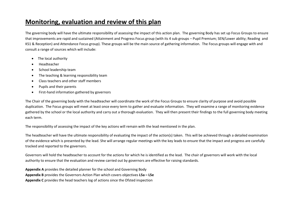## **Monitoring, evaluation and review of this plan**

The governing body will have the ultimate responsibility of assessing the impact of this action plan. The governing Body has set up Focus Groups to ensure that improvements are rapid and sustained (Attainment and Progress Focus group (with its 4 sub groups – Pupil Premium; SEN/Lower ability; Reading and KS1 & Reception) and Attendance Focus group). These groups will be the main source of gathering information. The Focus groups will engage with and consult a range of sources which will include:

- The local authority
- Headteacher
- School leadership team
- The teaching & learning responsibility team
- Class teachers and other staff members
- Pupils and their parents
- First-hand information gathered by governors

The Chair of the governing body with the headteacher will coordinate the work of the Focus Groups to ensure clarity of purpose and avoid possible duplication. The Focus groups will meet at least once every term to gather and evaluate information. They will examine a range of monitoring evidence gathered by the school or the local authority and carry out a thorough evaluation. They will then present their findings to the full governing body meeting each term.

The responsibility of assessing the impact of the key actions will remain with the lead mentioned in the plan.

The headteacher will have the ultimate responsibility of evaluating the impact of the action(s) taken. This will be achieved through a detailed examination of the evidence which is presented by the lead. She will arrange regular meetings with the key leads to ensure that the impact and progress are carefully tracked and reported to the governors.

Governors will hold the headteacher to account for the actions for which he is identified as the lead. The chair of governors will work with the local authority to ensure that the evaluation and review carried out by governors are effective for raising standards.

**Appendix A** provides the detailed planner for the school and Governing Body **Appendix B** provides the Governors Action Plan which covers objectives **L5a – L5e Appendix C** provides the head teachers log of actions since the Ofsted inspection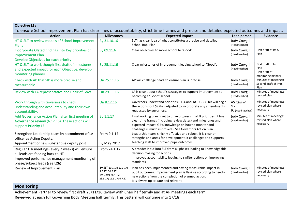| <b>Objective L1a</b>                                                                                                                                                    |                                                                                             |                                                                                                                                                                                                                                                             |                                            |                                                                     |
|-------------------------------------------------------------------------------------------------------------------------------------------------------------------------|---------------------------------------------------------------------------------------------|-------------------------------------------------------------------------------------------------------------------------------------------------------------------------------------------------------------------------------------------------------------|--------------------------------------------|---------------------------------------------------------------------|
|                                                                                                                                                                         |                                                                                             | To ensure School Improvement Plan has clear lines of accountability, strict time frames and precise and detailed expected outcomes and impact.                                                                                                              |                                            |                                                                     |
| <b>Action</b>                                                                                                                                                           | <b>Milestones</b>                                                                           | <b>Expected Impact</b>                                                                                                                                                                                                                                      | Lead person                                | <b>Evidence</b>                                                     |
| HT & SLT to review models of School Improvement<br>Plans                                                                                                                | By 31.10.16                                                                                 | SLT has clear idea of what constitutes a precise and detailed<br>School Imp. Plan                                                                                                                                                                           | <b>Judy Cowgill</b><br>(Head teacher)      |                                                                     |
| Incorporate Ofsted findings into Key priorities of<br>Improvement Plan.<br>Develop Objectives for each priority                                                         | By 09.11.6                                                                                  | Clear objectives to move school to "Good".                                                                                                                                                                                                                  | <b>Judy Cowgill</b><br>(Head teacher)      | First draft of Imp.<br>Plan                                         |
| HT & SLT to work though first draft of milestones<br>and expected impact for each Objective, develop<br>monitoring planner.                                             | By 25.11.16                                                                                 | Clear milestones of improvement leading school to "Good".                                                                                                                                                                                                   | <b>Judy Cowgill</b><br>(Head teacher)      | First draft of Imp.<br>Plan<br>First draft of<br>monitoring planner |
| Check with AP that SIP is more precise and<br>measureable                                                                                                               | On 25.11.16                                                                                 | AP will challenge head to ensure plan is precise                                                                                                                                                                                                            | <b>Judy Cowgill</b><br>(Head teacher)      | Minutes of meetings;<br>Second draft of Imp.<br>Plan                |
| Review with LA representative and Chair of Govs.                                                                                                                        | On 29.11.16                                                                                 | LA is clear about school's strategies to support improvement to<br>becoming a "Good" school.                                                                                                                                                                | <b>Judy Cowgill</b><br>(Head teacher)      | Minutes of meetings;<br>revised plan                                |
| Work through with Governors to check<br>understanding and accountability and their own<br>accountability.                                                               | On 8.12.16                                                                                  | Governors understand priorities L 1-4 and T&L 1-3. (This will begin<br>the actions for L5) Plan adjusted to incorporate any amendments<br>requested by governors.                                                                                           | AS (Chair of<br>Govs)<br>JC (Head teacher) | Minutes of meetings;<br>revised plan where<br>necessary             |
| Add Governance Action Plan after first meeting of<br><b>Governance review</b> (6.12.16) These actions will<br>support Priority L5                                       | By 1.1.17                                                                                   | Final working plan is set to drive progress in all 8 priorities. It has<br>clear time frames (including review dates) and milestones and<br>expected impact. GB's knowledge on how to monitor and<br>challenge is much improved - See Governors Action plan | <b>Judy Cowgill</b><br>(Head teacher)      | Minutes of meetings;<br>revised plan where<br>necessary             |
| Strengthen Leadership team by secondment of LA<br>officer as Acting Deputy.<br>Appointment of new substantive deputy post                                               | From 9.1.17<br><b>By May 2017</b>                                                           | Leadership team is highly effective and robust, it is clear on<br>strengths and areas for development, it challenges and supports<br>teaching staff to improved pupil outcomes.                                                                             |                                            |                                                                     |
| Regular TLR meetings (every 2 weeks) will ensure<br>all leads are feeding back to HT.<br>Improved performance management monitoring of<br>phase/subject leads (see L2b) | From 24.1.17                                                                                | A broader input into SLT from all phases leading to knowledgeable<br>decision making for actions.<br>Improved accountability leading to swifter actions on improving<br>standards                                                                           |                                            |                                                                     |
| Review of Improvement Plan                                                                                                                                              | By SLT 20.1.17; 17.3.17;<br>5.5.17; 30.6.17<br>By Govs 26.1.17;<br>23.3.17; 11.5.17; 6.7.17 | Plan has been implemented and having measurable impact in<br>pupil outcomes. Improvement plan is flexible according to need -<br>new actions from the completion of planned action.<br>It is always up to date and relevant                                 | <b>Judy Cowgill</b><br>(Head teacher)      | Minutes of meetings;<br>revised plan where<br>necessary             |
| <b>Monitoring</b>                                                                                                                                                       |                                                                                             |                                                                                                                                                                                                                                                             |                                            |                                                                     |
| Achievement Partner to review first draft 25/11/16Review with Chair half termly and at AP meetings each term                                                            |                                                                                             |                                                                                                                                                                                                                                                             |                                            |                                                                     |
| Reviewed at each full Governing Body Meeting half termly. This pattern will continue into 17/18                                                                         |                                                                                             |                                                                                                                                                                                                                                                             |                                            |                                                                     |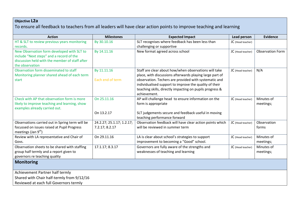## **Objective L2a**

To ensure all feedback to teachers from all leaders will have clear action points to improve teaching and learning

| <b>Action</b>                                                                                                                                                                                                                                                                                                                                                                                                                                                                                                                                                                                | <b>Milestones</b>                                                                                          | <b>Expected Impact</b>                                                                                                                                                                                                                                                                                                                                                                                                                                                                                                                | <b>Lead person</b>                                                               | <b>Evidence</b>                                                                                       |
|----------------------------------------------------------------------------------------------------------------------------------------------------------------------------------------------------------------------------------------------------------------------------------------------------------------------------------------------------------------------------------------------------------------------------------------------------------------------------------------------------------------------------------------------------------------------------------------------|------------------------------------------------------------------------------------------------------------|---------------------------------------------------------------------------------------------------------------------------------------------------------------------------------------------------------------------------------------------------------------------------------------------------------------------------------------------------------------------------------------------------------------------------------------------------------------------------------------------------------------------------------------|----------------------------------------------------------------------------------|-------------------------------------------------------------------------------------------------------|
| HT & SLT to review previous years monitoring                                                                                                                                                                                                                                                                                                                                                                                                                                                                                                                                                 | By 30.10.16                                                                                                | SLT recognises where feedback has been less than                                                                                                                                                                                                                                                                                                                                                                                                                                                                                      | JC (Head teacher)                                                                |                                                                                                       |
| records.                                                                                                                                                                                                                                                                                                                                                                                                                                                                                                                                                                                     |                                                                                                            | challenging or supportive                                                                                                                                                                                                                                                                                                                                                                                                                                                                                                             |                                                                                  |                                                                                                       |
| New Observation form developed with SLT to                                                                                                                                                                                                                                                                                                                                                                                                                                                                                                                                                   | By 14.11.16                                                                                                | New format agreed across school                                                                                                                                                                                                                                                                                                                                                                                                                                                                                                       | JC (Head teacher)                                                                | <b>Observation Form</b>                                                                               |
| include "Next steps" and a record of the                                                                                                                                                                                                                                                                                                                                                                                                                                                                                                                                                     |                                                                                                            |                                                                                                                                                                                                                                                                                                                                                                                                                                                                                                                                       |                                                                                  |                                                                                                       |
| discussion held with the member of staff after                                                                                                                                                                                                                                                                                                                                                                                                                                                                                                                                               |                                                                                                            |                                                                                                                                                                                                                                                                                                                                                                                                                                                                                                                                       |                                                                                  |                                                                                                       |
| the observation                                                                                                                                                                                                                                                                                                                                                                                                                                                                                                                                                                              |                                                                                                            |                                                                                                                                                                                                                                                                                                                                                                                                                                                                                                                                       |                                                                                  |                                                                                                       |
| Observation form disseminated to staff                                                                                                                                                                                                                                                                                                                                                                                                                                                                                                                                                       | By 11.11.16                                                                                                | Staff are clear about how/when observations will take                                                                                                                                                                                                                                                                                                                                                                                                                                                                                 | JC (Head teacher)                                                                | N/A                                                                                                   |
| Monitoring planner shared ahead of each term                                                                                                                                                                                                                                                                                                                                                                                                                                                                                                                                                 |                                                                                                            | place, with discussions afterwards playing large part of                                                                                                                                                                                                                                                                                                                                                                                                                                                                              |                                                                                  |                                                                                                       |
| start                                                                                                                                                                                                                                                                                                                                                                                                                                                                                                                                                                                        | Each end of term                                                                                           | observation. Techers are provided with systematic and                                                                                                                                                                                                                                                                                                                                                                                                                                                                                 |                                                                                  |                                                                                                       |
|                                                                                                                                                                                                                                                                                                                                                                                                                                                                                                                                                                                              |                                                                                                            | individualised support to improve the quality of their                                                                                                                                                                                                                                                                                                                                                                                                                                                                                |                                                                                  |                                                                                                       |
|                                                                                                                                                                                                                                                                                                                                                                                                                                                                                                                                                                                              |                                                                                                            |                                                                                                                                                                                                                                                                                                                                                                                                                                                                                                                                       |                                                                                  |                                                                                                       |
|                                                                                                                                                                                                                                                                                                                                                                                                                                                                                                                                                                                              |                                                                                                            |                                                                                                                                                                                                                                                                                                                                                                                                                                                                                                                                       |                                                                                  |                                                                                                       |
|                                                                                                                                                                                                                                                                                                                                                                                                                                                                                                                                                                                              |                                                                                                            |                                                                                                                                                                                                                                                                                                                                                                                                                                                                                                                                       |                                                                                  |                                                                                                       |
|                                                                                                                                                                                                                                                                                                                                                                                                                                                                                                                                                                                              |                                                                                                            |                                                                                                                                                                                                                                                                                                                                                                                                                                                                                                                                       |                                                                                  |                                                                                                       |
|                                                                                                                                                                                                                                                                                                                                                                                                                                                                                                                                                                                              |                                                                                                            |                                                                                                                                                                                                                                                                                                                                                                                                                                                                                                                                       |                                                                                  |                                                                                                       |
|                                                                                                                                                                                                                                                                                                                                                                                                                                                                                                                                                                                              |                                                                                                            |                                                                                                                                                                                                                                                                                                                                                                                                                                                                                                                                       |                                                                                  |                                                                                                       |
|                                                                                                                                                                                                                                                                                                                                                                                                                                                                                                                                                                                              |                                                                                                            |                                                                                                                                                                                                                                                                                                                                                                                                                                                                                                                                       |                                                                                  |                                                                                                       |
|                                                                                                                                                                                                                                                                                                                                                                                                                                                                                                                                                                                              |                                                                                                            |                                                                                                                                                                                                                                                                                                                                                                                                                                                                                                                                       |                                                                                  |                                                                                                       |
|                                                                                                                                                                                                                                                                                                                                                                                                                                                                                                                                                                                              |                                                                                                            |                                                                                                                                                                                                                                                                                                                                                                                                                                                                                                                                       |                                                                                  |                                                                                                       |
|                                                                                                                                                                                                                                                                                                                                                                                                                                                                                                                                                                                              |                                                                                                            |                                                                                                                                                                                                                                                                                                                                                                                                                                                                                                                                       |                                                                                  |                                                                                                       |
|                                                                                                                                                                                                                                                                                                                                                                                                                                                                                                                                                                                              |                                                                                                            |                                                                                                                                                                                                                                                                                                                                                                                                                                                                                                                                       |                                                                                  |                                                                                                       |
|                                                                                                                                                                                                                                                                                                                                                                                                                                                                                                                                                                                              |                                                                                                            |                                                                                                                                                                                                                                                                                                                                                                                                                                                                                                                                       |                                                                                  |                                                                                                       |
|                                                                                                                                                                                                                                                                                                                                                                                                                                                                                                                                                                                              |                                                                                                            |                                                                                                                                                                                                                                                                                                                                                                                                                                                                                                                                       |                                                                                  |                                                                                                       |
|                                                                                                                                                                                                                                                                                                                                                                                                                                                                                                                                                                                              |                                                                                                            |                                                                                                                                                                                                                                                                                                                                                                                                                                                                                                                                       |                                                                                  |                                                                                                       |
|                                                                                                                                                                                                                                                                                                                                                                                                                                                                                                                                                                                              |                                                                                                            |                                                                                                                                                                                                                                                                                                                                                                                                                                                                                                                                       |                                                                                  |                                                                                                       |
|                                                                                                                                                                                                                                                                                                                                                                                                                                                                                                                                                                                              |                                                                                                            |                                                                                                                                                                                                                                                                                                                                                                                                                                                                                                                                       |                                                                                  |                                                                                                       |
|                                                                                                                                                                                                                                                                                                                                                                                                                                                                                                                                                                                              |                                                                                                            |                                                                                                                                                                                                                                                                                                                                                                                                                                                                                                                                       |                                                                                  |                                                                                                       |
|                                                                                                                                                                                                                                                                                                                                                                                                                                                                                                                                                                                              |                                                                                                            |                                                                                                                                                                                                                                                                                                                                                                                                                                                                                                                                       |                                                                                  |                                                                                                       |
|                                                                                                                                                                                                                                                                                                                                                                                                                                                                                                                                                                                              |                                                                                                            |                                                                                                                                                                                                                                                                                                                                                                                                                                                                                                                                       |                                                                                  |                                                                                                       |
| Check with AP that observation form is more<br>likely to improve teaching and learning, show<br>examples already carried out.<br>Observations carried out in Spring term will be<br>focussed on issues raised at Pupil Progress<br>meetings (Jan $9th$ )<br>Review with LA representative and Chair of<br>Govs.<br>Observation sheets to be shared with staffing<br>group half termly and a report given to<br>governors re teaching quality<br><b>Monitoring</b><br>Achievement Partner half termly<br>Shared with Chair half-termly from 9/12/16<br>Reviewed at each full Governors termly | On 25.11.16<br>On 13.2.17<br>24.2.27; 25.1.17; 1.2.17;<br>7.2.17; 8.2.17<br>On 29.11.16<br>17.1.17; 8.3.17 | teaching skills, directly impacting on pupils progress &<br>achievement.<br>AP will challenge head to ensure information on the<br>form is appropriate<br>SLT judgements secure and feedback useful in moving<br>teaching performance forward<br>Observation feedback will have clear action points which<br>will be reviewed in summer term<br>LA is clear about school's strategies to support<br>improvement to becoming a "Good" school.<br>Governors are fully aware of the strengths and<br>weaknesses of teaching and learning | JC (Head teacher)<br>JC (Head teacher)<br>JC (Head teacher)<br>JC (Head teacher) | Minutes of<br>meetings;<br>Observation<br>forms<br>Minutes of<br>meetings;<br>Minutes of<br>meetings; |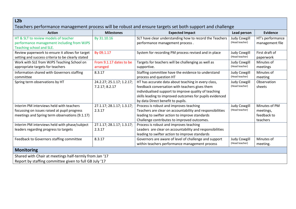| SLT have clear understanding how to record the Teachers<br>performance management process.<br>System for recording PM process revised and in place<br>From 9.1.17 dates to be<br>Targets for teachers will be challenging as well as<br>supportive.<br>Staffing committee have the evidence to understand | <b>Judy Cowgill</b><br>(Head teacher)<br><b>Judy Cowgill</b><br>(Head teacher)<br><b>Judy Cowgill</b>                                      | HT's performance<br>management file<br>First draft of<br>paperwork |
|-----------------------------------------------------------------------------------------------------------------------------------------------------------------------------------------------------------------------------------------------------------------------------------------------------------|--------------------------------------------------------------------------------------------------------------------------------------------|--------------------------------------------------------------------|
|                                                                                                                                                                                                                                                                                                           |                                                                                                                                            |                                                                    |
|                                                                                                                                                                                                                                                                                                           |                                                                                                                                            |                                                                    |
|                                                                                                                                                                                                                                                                                                           | (Head teacher)                                                                                                                             | Minutes of<br>meetings                                             |
| process and question HT                                                                                                                                                                                                                                                                                   | <b>Judy Cowgill</b><br>(Head teacher)                                                                                                      | Minutes of<br>meeting                                              |
| feedback conversation with teachers gives them<br>individualised support to improve quality of teaching<br>skills leading to improved outcomes for pupils evidenced<br>by data Direct benefit to pupils.                                                                                                  | <b>Judy Cowgill</b><br>(Head teacher)                                                                                                      | Observation<br>sheets                                              |
| Process is robust and improves teaching<br>Teachers are clear on accountability and responsibilities<br>leading to swifter action to improve standards<br>Challenge contributes to improved outcomes.                                                                                                     | <b>Judy Cowgill</b><br>(Head teacher)                                                                                                      | Minutes of PM<br>meetings,<br>feedback to<br>teachers              |
| Process is robust and improves teaching<br>Leaders are clear on accountability and responsibilities<br>leading to swifter action to improve standards                                                                                                                                                     |                                                                                                                                            |                                                                    |
| Governors are aware of level of challenge and support<br>within teachers performance management process                                                                                                                                                                                                   | <b>Judy Cowgill</b><br>(Head teacher)                                                                                                      | Minutes of<br>meeting.                                             |
|                                                                                                                                                                                                                                                                                                           | 24.2.27; 25.1.17; 1.2.17;<br>HT has accurate data about teaching in every class,<br>27.1.17; 28.1.17; 1.3.17;<br>27.1.17; 28.1.17; 1.3.17; |                                                                    |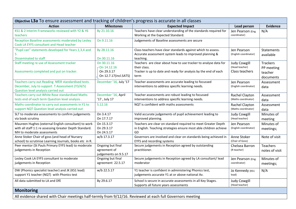| Objective L3a To ensure assessment and tracking of children's progress is accurate in all classes                                             |                                                                       |                                                                                                                                                            |                                                         |                                                       |  |
|-----------------------------------------------------------------------------------------------------------------------------------------------|-----------------------------------------------------------------------|------------------------------------------------------------------------------------------------------------------------------------------------------------|---------------------------------------------------------|-------------------------------------------------------|--|
| <b>Action</b>                                                                                                                                 | <b>Milestones</b>                                                     | <b>Expected Impact</b>                                                                                                                                     | Lead person                                             | <b>Evidence</b>                                       |  |
| KS1 & 2 Interim Frameworks reviewed with Y2 & Y6<br>teachers                                                                                  | By 21.10.16                                                           | Teachers have clear understanding of the standards required for<br>Working at the Expected Standard.                                                       | Jen Pearson (Eng.<br>coordinator)                       | N/A                                                   |  |
| Reception Baseline assessments moderated by Lesley<br>Cook LA EYFS consultant and Head teacher                                                | On 9.11.16                                                            | Judgements of Baseline assessments are secure                                                                                                              |                                                         |                                                       |  |
| "Pupil can" statements developed for Years 1,3,4 and                                                                                          | By 28.11.16                                                           | Class teachers have clear standards against which to assess.<br>Accurate assessment system leads to improved planning &                                    | Jen Pearson<br>(English coordinator)                    | <b>Statements</b><br>available                        |  |
| <b>Disseminated to staff</b>                                                                                                                  | On 30.11.16                                                           | teaching.                                                                                                                                                  |                                                         |                                                       |  |
| Staff meeting re use of Assessment tracker<br>Assessments completed and put on tracker.                                                       | On 30.11.16<br>$-$ On 14.12.16<br>On 29.3.17<br>On 12.7.17(incl.SATS) | Teachers are clear about how to use tracker to analyse data for<br>their class.<br>Tracker is up to date and ready for analysis by the end of each<br>term | <b>Judy Cowgill</b><br>(Head teacher)<br>Class teachers | <b>Trackers</b><br>PP meeting<br>teacher<br>documents |  |
| Teachers carry out Reading NfER standardised tests<br>December, July to support T Assessment (Y3/4/5)<br>Question level analysis carried out  | December '16, July '17                                                | Teacher assessments are accurate leading to focussed<br>interventions to address specific learning needs.                                                  | Jen Pearson<br>(English coordinator)                    | Assessment<br>data                                    |  |
| Teachers carry out White Rose standardised Maths<br>tests end of each term Question level analysis.                                           | December '16, April<br>'17, July 17                                   | Teacher assessments are robust leading to focussed<br>interventions to address specific learning needs.                                                    | Rachel Clayton<br>(Maths coordinator)                   | Assessment<br>data                                    |  |
| Maths coordinator to carry out assessments in Y1 to<br>support NQT Question level analysis carried out                                        | 5.12.16                                                               | NQT is confident with maths assessments                                                                                                                    | Rachel Clayton<br>(Maths coordinator)                   | Assessment<br>data                                    |  |
| SLT to moderate assessments to confirm judgements<br>via book scrutiny                                                                        | On 3.4.17<br>On 17.7.17                                               | Valid accurate judgements of pupil achievement leading to<br>improved planning.                                                                            | <b>Judy Cowgill</b><br>(Head teacher)                   | Minutes of<br>meeting                                 |  |
| Maureen Hughes (external English consultant) to work<br>with all staff 1:1 re assessing Greater Depth Standard.<br>MH to moderate assessments | On 15.3.17<br>On 29.3.17<br>On 24.5.17                                | Teachers are clear on standard required to meet Greater Depth<br>in English. Teaching strategies ensure most able children achieve<br>GD                   | Jen Pearson<br>(English coordinator)                    | Minutes of<br>meetings;                               |  |
| Anne Stoker Chair of govs (and head of Nursery<br>school) to scrutinise Learning Journals, books etc in R.                                    | w/b 17.3.17                                                           | Governors are involved and clear on standards being achieved in<br>EYFS and recording systems                                                              | Anne Stoker<br>(Chair of Govs)                          | Note of visit                                         |  |
| Peer mentor (St Pauls Primary EYFS lead) to moderate<br>judgements in Reception                                                               | Ongoing but final<br>agreement of<br>judgements on 9.5.17             | Secure judgements in Reception agreed by outstanding<br>practitioner.                                                                                      | Chelsea Barron<br>(R teacher)                           | <b>Teachers</b><br>notes of visit                     |  |
| Lesley Cook LA EYFS consultant to moderate<br>judgements in Reception                                                                         | Ongoing but final<br>agreement 22.5.17                                | Secure judgements in Reception agreed by LA consultant/ lead<br>moderator                                                                                  | Jen Pearson (Eng.<br>coordinator)                       | Minutes of<br>meetings;                               |  |
| DW (Phonics specialist teacher) and JK (KS1 lead)<br>support Y1 teacher (NQT) with Phonics test                                               | w/b 22.5.17                                                           | Y1 teacher is confident in administering Phonics test,<br>judgements accurate Y1 at or above national Av.                                                  | Jo Kennedy (KS1<br>lead)                                | N/A                                                   |  |
| All data submitted to LA and DfE                                                                                                              | By 29.6.17                                                            | School is secure in accurate assessments in all Key Stages.<br>Supports all future years assessments                                                       | <b>Judy Cowgill</b><br>(Head teacher)                   |                                                       |  |
| <b>Monitoring</b>                                                                                                                             |                                                                       |                                                                                                                                                            |                                                         |                                                       |  |
| All evidence shared with Chair meetings half-termly from 9/12/16. Reviewed at each full Governors meeting                                     |                                                                       |                                                                                                                                                            |                                                         |                                                       |  |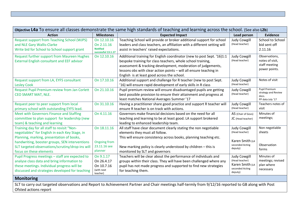| Objective L4a To ensure all classes demonstrate the same high standards of teaching and learning across the school. (See also L2b)                                                               |                                                                    |                                                                                                                                                                                                                                                                                                                            |                                                                                        |                                                                    |  |
|--------------------------------------------------------------------------------------------------------------------------------------------------------------------------------------------------|--------------------------------------------------------------------|----------------------------------------------------------------------------------------------------------------------------------------------------------------------------------------------------------------------------------------------------------------------------------------------------------------------------|----------------------------------------------------------------------------------------|--------------------------------------------------------------------|--|
| <b>Action</b>                                                                                                                                                                                    | <b>Milestones</b>                                                  | <b>Expected Impact</b>                                                                                                                                                                                                                                                                                                     | Lead person                                                                            | <b>Evidence</b>                                                    |  |
| <b>Request support from Teaching School (WJPS)</b><br>and NLE Gary Wallis-Clarke<br>Write bid for School to School support grant                                                                 | On 12.10.16<br>On 2.11.16<br><b>Notified</b><br>successful 13.1.17 | Teaching School will provide or broker additional support for school<br>leaders and class teachers, an affiliation with a different setting will<br>assist in teachers' raised expectations.                                                                                                                               | <b>Judy Cowgill</b><br>(Head teacher)                                                  | School to School<br>bid sent off<br>2.11.16                        |  |
| <b>Request further support from Maureen Hughes</b><br><b>External English consultant and EEF advisor</b>                                                                                         | On 12.10.16                                                        | Additional training for English coordinator (new to post Sept. '16)1:1<br>bespoke training for class teachers, whole school training,<br>assessment & tracking development, moderation of judgements,<br>lessons obs with clear action points - will all ensure teaching in<br>English is at least good across the school. | <b>Judy Cowgill</b><br>(Head teacher)                                                  | Observations,<br>notes of visit,<br>staff meeting<br>power points. |  |
| Request support from LA, EYFS consultant<br><b>Lesley Cook</b>                                                                                                                                   | On 17.10.16                                                        | Additional support and challenge for R teacher (new to post Sept.<br>'16) will ensure rapid development of early skills in R class                                                                                                                                                                                         | <b>Judy Cowgill</b><br>(Head teacher)                                                  | Notes of visit                                                     |  |
| Request Pupil Premium review from Jan Corlett<br>CEO SMART MAT, NLE.                                                                                                                             | On 21.10.16                                                        | Pupil premium review will ensure disadvantaged pupils are getting<br>best possible provision to ensure their attainment and progress at<br>least matches National Averages Summer '17                                                                                                                                      | <b>Judy Cowgill</b><br>(Head teacher)                                                  | Pupil Premium<br>strategy and Review<br>docs.<br>PP data July '17  |  |
| Request peer to peer support from local<br>primary school with outstanding EYFS lead.                                                                                                            | On 31.10.16                                                        | Having a practitioner share good practice and support R teacher will<br>ensure R teacher is on track with actions.                                                                                                                                                                                                         | <b>Judy Cowgill</b><br>(Head teacher)                                                  | Teachers notes of<br>visit                                         |  |
| Meet with Governors Finance and Staffing<br>committee to plan support for leadership (new<br>team) & teaching and learning                                                                       | On 4.11.16                                                         | Governors make financial decisions based on the need for all<br>teaching and learning to be at least good. LA support brokered<br>leading to enhanced leadership team.                                                                                                                                                     | AS (Chair of Govs)<br>JC (Head teacher)                                                | Minutes of<br>meetings;                                            |  |
| Training day for all staff to revisit "Non-<br>negotiables" for English in each Key Stage, in<br>Planning, marking, presentation of books,                                                       | On 18.11.16                                                        | All staff have clear document clearly stating the non negotiable<br>elements they must all follow.<br>This will ensure consistency across books, planning teaching etc.                                                                                                                                                    | <b>Judy Cowgill</b><br>(Head teacher)                                                  | Non negotiable<br>sheets                                           |  |
| handwriting, booster groups, SEN interventions<br>SLT targeted observations/scrutiny/drop-ins will<br>focus on these elements                                                                    | <b>Ongoing from</b><br>23.11.16 see<br>planner                     | New marking policy is clearly understood by children - this is<br>monitored by SLT and governors                                                                                                                                                                                                                           | Karen Smith (LA<br>seconded Acting<br>deputy)                                          | Observation<br>forms                                               |  |
| Pupil Progress meetings - staff are expected to<br>analyse class data and bring information to<br>these meetings. Individual progress will be<br>discussed and strategies developed for teaching | On 9.1.17<br>On 26.4.17<br>On 10.7.16<br>(with next<br>teacher)    | Teachers will be clear about the performance of individuals and<br>groups within their class. They will have been challenged where any<br>pupil has not made progress and supported to find new strategies<br>for teaching them.                                                                                           | <b>Judy Cowgill</b><br>(Head teacher)<br>Karen Smith (LA<br>seconded Acting<br>deputy) | Minutes of<br>meetings; revised<br>plan where<br>necessary         |  |
| <b>Monitoring</b>                                                                                                                                                                                |                                                                    | $\mathbf{r}$ and $\mathbf{r}$<br>0.110112                                                                                                                                                                                                                                                                                  |                                                                                        |                                                                    |  |

SLT to carry out targeted observations and Report to Achievement Partner and Chair meetings half-termly from 9/12/16 reported to GB along with Post Ofsted actions report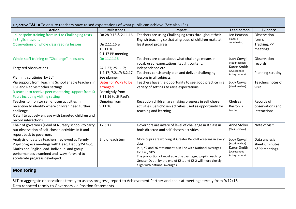| <b>Action</b>                                                                                                                                                                                                                       | <b>Milestones</b>                                                                           | Impact                                                                                                                                                                                                                                                                                                             | Lead person                                                                            | <b>Evidence</b>                                     |
|-------------------------------------------------------------------------------------------------------------------------------------------------------------------------------------------------------------------------------------|---------------------------------------------------------------------------------------------|--------------------------------------------------------------------------------------------------------------------------------------------------------------------------------------------------------------------------------------------------------------------------------------------------------------------|----------------------------------------------------------------------------------------|-----------------------------------------------------|
| 1:1 bespoke training from MH re Challenging texts<br>in English lessons<br>Observations of whole class reading lessons                                                                                                              | On 28 9 16 & 2.11.16<br>On 2.11.16 &<br>16.11.16<br>9.1.17 PP meeting                       | Teachers are using Challenging texts throughout their<br>English teaching so that all groups of children make at<br>least good progress.                                                                                                                                                                           | Jen Pearson<br>(English<br>coordinator)                                                | Observation<br>forms<br>Tracking, PP,<br>meetings   |
| Whole staff training re "Challenge" in lessons<br><b>Targeted observations</b>                                                                                                                                                      | On 11.11.16<br>24.2.27; 25.1.17;<br>1.2.17; 7.2.17; 8.2.17                                  | Teachers are clear about what challenge means in<br>vocab used, expectations, taught content,<br>independence etc<br>Teachers consistently plan and deliver challenging                                                                                                                                            | <b>Judy Cowgill</b><br>(Head teacher)<br>Karen Smith<br>(LA seconded<br>Acting deputy) | Observation<br>records<br>Planning scrutiny         |
| Planning scrutinies by SLT<br>Via support from Teaching School enable teachers in<br>KS1 and R to visit other settings<br>R teacher to receive peer mentoring support from St<br>Pauls including visiting setting                   | See planner<br>Dates for WJPS to be<br>arranged<br>Fortnightly from<br>8.11.16 to St Paul's | lessons in all subjects.<br>Teachers have the opportunity to see good practice in a<br>variety of settings to raise expectations.                                                                                                                                                                                  | <b>Judy Cowgill</b><br>(Head teacher)                                                  | Teachers notes of<br>visit                          |
| Teacher to monitor self-chosen activities in<br>reception to identify where children need further<br>challenge<br>R staff to actively engage with targeted children and<br>record interactions                                      | Ongoing from<br>9.11.16                                                                     | Reception children are making progress in self chosen<br>activities. Self-chosen activities used as opportunity for<br>teaching and learning                                                                                                                                                                       | Chelsea<br>Barron (R<br>teacher)                                                       | Records of<br>observations and<br>interactions      |
| Chair of governors (Head of Nursery school) to carry<br>out observation of self-chosen activities in R and<br>report back to governors                                                                                              | 17.3.17                                                                                     | Governors are aware of level of challenge in R class in<br>both directed and self-chosen activities                                                                                                                                                                                                                | Anne Stoker<br>(Chair of Govs)                                                         | Note of visit                                       |
| Analysis of data by teachers, reviewed at Termly<br>Pupil progress meetings with Head, Deputy/SENCo,<br>Maths and English lead. Individual and group<br>performances examined and ways forward to<br>accelerate progress developed. | End of each term                                                                            | More pupils are working at Greater Depth/Exceeding in every<br>class.<br>In R, Y2 and Y6 attainment is in line with National Averages<br>for EXC, GDS<br>The proportion of most able disadvantaged pupils reaching<br>Greater Depth by the end of KS 1 and KS 2 will more closely<br>align with national averages. | <b>Judy Cowgill</b><br>(Head teacher)<br>Karen Smith<br>(LA seconded<br>Acting deputy) | Data analysis<br>sheets, minutes<br>of PP meetings. |
| <b>Monitoring</b>                                                                                                                                                                                                                   |                                                                                             |                                                                                                                                                                                                                                                                                                                    |                                                                                        |                                                     |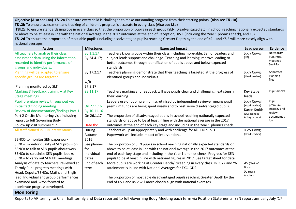**Objective (Also see L4a) T&L2a** To ensure every child is challenged to make outstanding progress from their starting points. **(Also see T&L1a) T&L2b** To ensure assessment and tracking of children's progress is accurate in every class **(Also see L3a)**

**T&L2c** To ensure standards improve in every class so that the proportion of pupils in each group (SEN, Disadvantaged etc) in school reaching nationally expected standards or above to be at least in line with the national average in the 2017 outcomes at the end of Reception, KS 1 (including the Year 1 phonics check), and KS2. **T&L2d** To ensure the proportion of most able pupils (including disadvantaged pupils) reaching Greater Depth by the end of KS 1 and KS 2 will more closely align with national averages.

| <b>Action</b>                                                                | <b>Milestones</b>        | <b>Expected Impact</b>                                                                                                                                           | <b>Lead person</b>             | <b>Evidence</b>          |
|------------------------------------------------------------------------------|--------------------------|------------------------------------------------------------------------------------------------------------------------------------------------------------------|--------------------------------|--------------------------|
| All teachers to analyse their class                                          | By 1.1.17<br>By 24.4.17; | Teachers know groups within their class including more-able. Senior Leaders and<br>subject leads support and challenge. Teaching and learning improve leading to | <b>Judy Cowgill</b><br>(HT)    | Notes from<br>Pup. Prog. |
| assessment data using the information<br>recorded to identify performance of |                          | better outcomes through identification of pupils above and below expected                                                                                        |                                | meetings                 |
| groups and individuals                                                       |                          | standards.                                                                                                                                                       |                                | See L4a                  |
| Planning will be adapted to ensure                                           | By 17.2.17               | Teachers planning demonstrate that their teaching is targeted at the progress of                                                                                 | <b>Judy Cowgill</b>            | Annotated                |
| specific groups are targeted                                                 |                          | identified groups and individuals                                                                                                                                | (Head teacher)                 | Planning                 |
|                                                                              | w/b                      |                                                                                                                                                                  |                                | files                    |
| Planning monitored by SLT                                                    | 27.3.17                  |                                                                                                                                                                  |                                |                          |
| Marking & feedback training - at Key                                         | 23.11.17                 | Teachers marking and feedback will give pupils clear and challenging next steps in                                                                               | <b>Key Stage</b>               | Pupils books             |
| <b>Stage meetings</b>                                                        |                          | their learning                                                                                                                                                   | leads                          |                          |
| Pupil premium review throughout year                                         |                          | Leaders use of pupil premium scrutinised by independent reviewer means pupil                                                                                     | <b>Judy Cowgill</b>            | Pupil                    |
| Initial fact finding meeting                                                 | On 2.11.16               | premium funds are being spent wisely and to best serve disadvantaged pupils.                                                                                     | (Head teacher)                 | premium                  |
| Review of documentation/findings Part 1                                      | By 10.11.16              |                                                                                                                                                                  | Karen Smith                    | strategy and             |
| Part 2 Onsite Monitoring visit including                                     | On 26.1.17               | The proportion of disadvantaged pupils in school reaching nationally expected                                                                                    | (LA seconded<br>Acting deputy) | review<br>documentat     |
| report to full Governing Body                                                |                          | standards or above to be at least in line with the national average in the 2017                                                                                  |                                | ion                      |
| Follow up visit summer '17                                                   | Date tbc                 | outcomes at the end of each key stage and including in the Year 1 phonics check.                                                                                 |                                |                          |
| All staff trained in SEN interventions                                       | During                   | Teachers will plan appropriately and with challenge for all SEN pupils.                                                                                          | <b>Judy Cowgill</b>            |                          |
|                                                                              | Autumn                   | Paperwork will include impact of interventions.                                                                                                                  | (Head teacher)                 |                          |
| SENCO to monitor SEN paperwork                                               | 2016                     |                                                                                                                                                                  |                                |                          |
| SENCo monitor quality of SEN provision                                       | See planner              | The proportion of SEN pupils in school reaching nationally expected standards or                                                                                 |                                |                          |
| SENCo to talk to SEN pupils about work                                       | for                      | above to be at least in line with the national average in the 2017 outcomes at the                                                                               |                                |                          |
| SENCo to scrutinise SEN pupils' books                                        | individual               | end of each key stage and including in the Year 1 phonics check. Progress for SEN                                                                                |                                |                          |
| SENCo to carry out SEN PP meetings                                           | dates                    | pupils to be at least in line with national figures in 2017. See target sheet for detail.                                                                        |                                |                          |
| Analysis of data by teachers, reviewed at                                    | End of each              | More pupils are working at Greater Depth/Exceeding in every class. In R, Y2 and Y6                                                                               | AS (Chair of                   |                          |
| Termly Pupil progress meetings with                                          | term                     | attainment is in line with National Averages for EXC, GDS                                                                                                        | Govs)                          |                          |
| Head, Deputy/SENCo, Maths and English                                        |                          |                                                                                                                                                                  | JC (Head<br>teacher)           |                          |
| lead. Individual and group performances                                      |                          | The proportion of most able disadvantaged pupils reaching Greater Depth by the                                                                                   |                                |                          |
| examined and ways forward to                                                 |                          | end of KS 1 and KS 2 will more closely align with national averages.                                                                                             |                                |                          |
| accelerate progress developed.                                               |                          |                                                                                                                                                                  |                                |                          |
| <b>Monitoring</b>                                                            |                          |                                                                                                                                                                  |                                |                          |
|                                                                              |                          | Reports to AP termly, to Chair half termly and Data reported to full Governing Body Meeting each term via Position Statements. SEN report annually July '17      |                                |                          |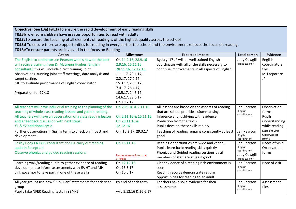**Objective (See L3a)T&L3a**To ensure the rapid development of early reading skills

**T&L3b**To ensure children have greater opportunities to read with adults

**T&L3c**To ensure the teaching of all elements of reading is of the highest quality across the school

**T&L3d T**o ensure there are opportunities for reading in every part of the school and the environment reflects the focus on reading.

**T&L3e**To ensure parents are involved in the focus on Reading

| <b>Action</b>                                                     | <b>Milestones</b>          | <b>Expected Impact</b>                            | Lead person                 | Evidence                |
|-------------------------------------------------------------------|----------------------------|---------------------------------------------------|-----------------------------|-------------------------|
| The English co-ordinator Jen Pearson who is new to the post       | On 14.9.16, 28.9.16        | By July '17 JP will be well trained English       | <b>Judy Cowgill</b>         | English                 |
| will receive training from Dr Maureen Hughes (English             | 2.9.16, 16.11.16.          | coordinator with all of the skills necessary to   | (Head teacher)              | coordinators            |
| consultant), this will include direct training, joint             | 28.11.16, 12.12.16,        | continue improvements in all aspects of English.  |                             | files.                  |
| observations, running joint staff meetings, data analysis and     | 11.1.17, 23.1.17,          |                                                   |                             | MH report re            |
| target setting.                                                   | 8.2.17, 27.2.17,           |                                                   |                             | JP                      |
| MH to evaluate performance of English coordinator                 | 15.3.17, 29.3.17,          |                                                   |                             |                         |
|                                                                   | 7.4.17, 26.4.17,           |                                                   |                             |                         |
| Preparation for 17/18                                             | 10.5.17, 24.5.17,          |                                                   |                             |                         |
|                                                                   | 14.6.17, 28.6.17,          |                                                   |                             |                         |
|                                                                   | On 10.7.17                 |                                                   |                             |                         |
| All teachers will have individual training re the planning of the | On 28 9 16 & 2.11.16       | All lessons are based on the aspects of reading   | Jen Pearson                 | Observation             |
| teaching of whole class reading lessons and guided reading.       |                            | that are school priorities. (Summarising,         | (English<br>coordinator)    | forms.                  |
| All teachers will have an observation of a class reading lesson   | On 2.11.16 & 16.11.16      | Inference and justifying with evidence,           |                             | Pupils                  |
| and a feedback discussion with next steps.                        | On 28.11.16 &              | Prediction from the text.)                        |                             | understanding           |
| Y1 & Y2 additional cycle                                          | 12.12.16                   | Pupils develop these skills rapidly               |                             | while reading           |
| Further observations in Spring term to check on impact and        | On 15.3.17; 29.3.17        | Teaching of reading remains consistently at least | Jen Pearson                 | Notes of visit          |
| development.                                                      |                            | good                                              | (English                    | Observation             |
| Lesley Cook LA EYFS consultant and HT carry out reading           | On 16.11.16                | Reading opportunities are wide and varied.        | coordinator)<br>Jen Pearson | forms<br>Notes of visit |
| audit in Reception.                                               |                            | Pupils learn basic reading skills quickly         | (English                    | Observation             |
| Observe phonics and guided reading sessions                       |                            | Phonics and Guided reading sessions by all        | coordinator)                | forms                   |
|                                                                   | Further observations to be | members of staff are at least good.               | Judy Cowgill                |                         |
|                                                                   | arranged                   |                                                   | (Head teacher)              |                         |
| Learning walk/reading audit to gather evidence of reading         | On 12.12.16                | Clear evidence of a reading rich environment is   | Jen Pearson<br>(English     | Note of visit           |
| development to inform assessments with JP, HT and MH              | On 15.3.17                 | seen                                              | coordinator)                |                         |
| Link governor to take part in one of these walks                  | On 10.5.17                 | Reading records demonstrate regular               |                             |                         |
|                                                                   |                            | opportunities for reading to an adult             |                             |                         |
| All year groups use new "Pupil Can" statements for each year      | By end of each term        | Teachers have solid evidence for their            | Jen Pearson                 | Assessment              |
| group                                                             |                            | assessments                                       | (English<br>coordinator)    | files                   |
| Pupils take NFER Reading tests in Y3/4/5                          | w/b 5.12.16 & 26.6.17      |                                                   |                             |                         |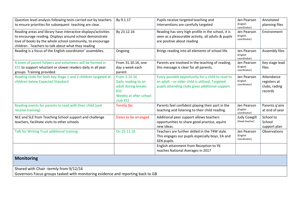| Question level analysis following tests carried out by teachers                                                                                                                                                                               | By 9.1.17                                                                                                           | Pupils receive targeted teaching and                                                                                                                     | Jen Pearson                             | Annotated                                              |
|-----------------------------------------------------------------------------------------------------------------------------------------------------------------------------------------------------------------------------------------------|---------------------------------------------------------------------------------------------------------------------|----------------------------------------------------------------------------------------------------------------------------------------------------------|-----------------------------------------|--------------------------------------------------------|
| to ensure priorities for subsequent teaching are clear.                                                                                                                                                                                       |                                                                                                                     | Interventions are carefully targeted                                                                                                                     | (English<br>coordinator)                | planning files                                         |
| Reading areas and library have interactive displays/activities<br>to encourage reading. Displays around school demonstrate<br>love of books by the whole school community, to encourage<br>children. Teachers to talk about what they reading | By 23.12.16                                                                                                         | Reading has very high profile in the school, it is<br>seen as a pleasurable activity, all adults & pupils<br>are positive about reading                  | Jen Pearson<br>(English<br>coordinator) | Environment                                            |
| Reading is a focus of the English coordinator' assemblies.                                                                                                                                                                                    | Ongoing                                                                                                             | Brings reading into all elements of school life.                                                                                                         | Jen Pearson<br>(English<br>coordinator) | Assembly files                                         |
| A team of parent helpers and volunteers will be formed in<br>KS1 to support reluctant or slower readers daily in all year<br>groups. Training provided.                                                                                       | From 31.10.16, one<br>day a week each<br>parent                                                                     | Parents are involved in the teaching of reading,<br>this message is clear for all parents.                                                               | Jen Pearson<br>(English<br>coordinator) | Key stage lead<br>files                                |
| Reading clubs for both Key Stage 1 and 2 children targeted at<br>children below Expected Standard                                                                                                                                             | From 3.10.16<br>Daily reading to an<br>adult during breaks<br>KS <sub>2</sub><br>Weekly at after school<br>club KS1 | Every possible opportunity for a child to read to<br>an adult - or older child is utilised. Targeted<br>pupils attending clubs gives additional support. | Jen Pearson<br>(English<br>coordinator) | Attendance<br>registers at<br>clubs, rading<br>records |
| Reading events for parents to read with their child (and<br>receive training)                                                                                                                                                                 | <b>Termly tbc</b>                                                                                                   | Parents feel confident playing their part in the<br>teaching and listening to their child reading.                                                       | Jen Pearson<br>(English<br>coordinator) | Parents q'aire<br>at end of year                       |
| NLE and SLE from Teaching School support and challenge<br>teachers, facilitate visits to other schools                                                                                                                                        | Dates to be arranged                                                                                                | Additional peer support allows teachers<br>opportunities to share good practice, aquire<br>new ideas.                                                    | <b>Judy Cowgill</b><br>(Head teacher)   | School to<br>School<br>support plan                    |
| Talk for Writing Trust additional training                                                                                                                                                                                                    | On 25.11.16                                                                                                         | Teachers are further skilled in the T4W style.<br>This engages our pupils especially boys, EA and<br>SEN pupils.                                         | Jen Pearson<br>(English<br>coordinator) | Observations                                           |
|                                                                                                                                                                                                                                               |                                                                                                                     | English attainment from Reception to Y6<br>reaches National Averages in 2017                                                                             |                                         |                                                        |
| <b>Monitoring</b>                                                                                                                                                                                                                             |                                                                                                                     |                                                                                                                                                          |                                         |                                                        |
| Shared with Chair -termly from 9/12/16<br>Governors Focus groups tasked with monitoring evidence and reporting back to GB                                                                                                                     |                                                                                                                     |                                                                                                                                                          |                                         |                                                        |